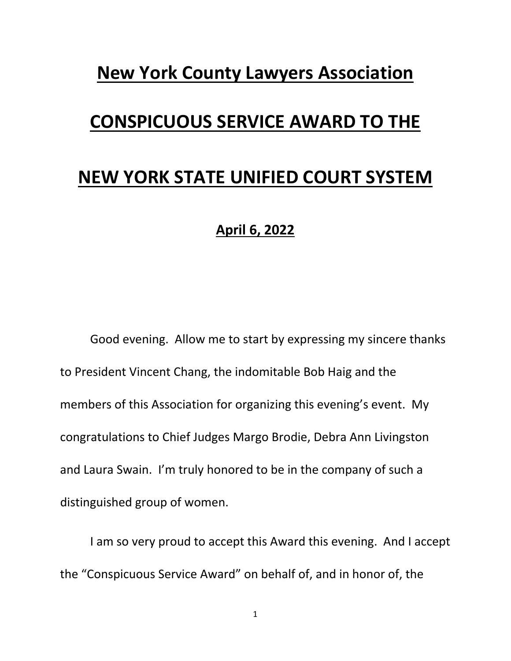## **New York County Lawyers Association**

## **CONSPICUOUS SERVICE AWARD TO THE**

## **NEW YORK STATE UNIFIED COURT SYSTEM**

## **April 6, 2022**

Good evening. Allow me to start by expressing my sincere thanks to President Vincent Chang, the indomitable Bob Haig and the members of this Association for organizing this evening's event. My congratulations to Chief Judges Margo Brodie, Debra Ann Livingston and Laura Swain. I'm truly honored to be in the company of such a distinguished group of women.

 I am so very proud to accept this Award this evening. And I accept the "Conspicuous Service Award" on behalf of, and in honor of, the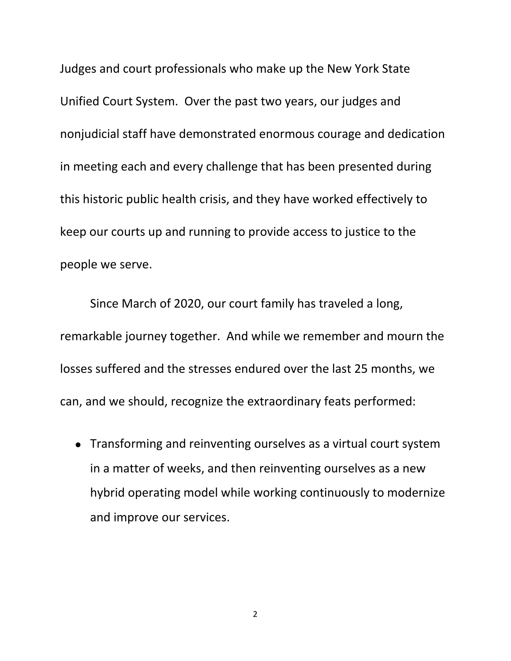Judges and court professionals who make up the New York State Unified Court System. Over the past two years, our judges and nonjudicial staff have demonstrated enormous courage and dedication in meeting each and every challenge that has been presented during this historic public health crisis, and they have worked effectively to keep our courts up and running to provide access to justice to the people we serve.

Since March of 2020, our court family has traveled a long, remarkable journey together. And while we remember and mourn the losses suffered and the stresses endured over the last 25 months, we can, and we should, recognize the extraordinary feats performed:

• Transforming and reinventing ourselves as a virtual court system in a matter of weeks, and then reinventing ourselves as a new hybrid operating model while working continuously to modernize and improve our services.

2